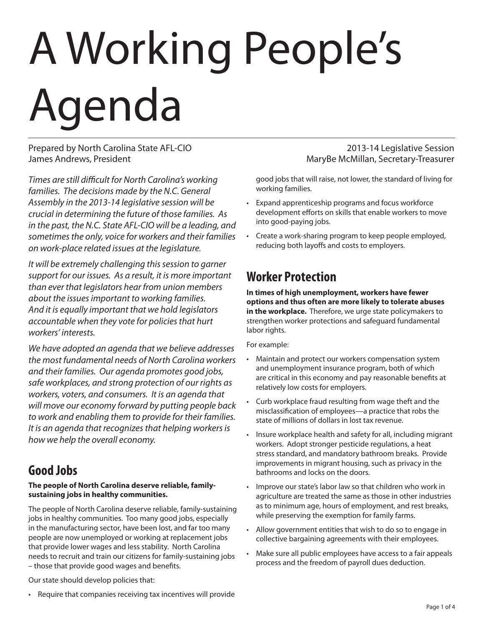# A Working People's Agenda

Prepared by North Carolina State AFL-CIO 2013-14 Legislative Session James Andrews, President MaryBe McMillan, Secretary-Treasurer

*Times are still difficult for North Carolina's working families. The decisions made by the N.C. General Assembly in the 2013-14 legislative session will be crucial in determining the future of those families. As in the past, the N.C. State AFL-CIO will be a leading, and sometimes the only, voice for workers and their families on work-place related issues at the legislature.*

*It will be extremely challenging this session to garner support for our issues. As a result, it is more important than ever that legislators hear from union members about the issues important to working families. And it is equally important that we hold legislators accountable when they vote for policies that hurt workers' interests.*

*We have adopted an agenda that we believe addresses the most fundamental needs of North Carolina workers and their families. Our agenda promotes good jobs, safe workplaces, and strong protection of our rights as workers, voters, and consumers. It is an agenda that will move our economy forward by putting people back to work and enabling them to provide for their families. It is an agenda that recognizes that helping workers is how we help the overall economy.*

# **Good Jobs**

#### **The people of North Carolina deserve reliable, familysustaining jobs in healthy communities.**

The people of North Carolina deserve reliable, family-sustaining jobs in healthy communities. Too many good jobs, especially in the manufacturing sector, have been lost, and far too many people are now unemployed or working at replacement jobs that provide lower wages and less stability. North Carolina needs to recruit and train our citizens for family-sustaining jobs – those that provide good wages and benefits.

good jobs that will raise, not lower, the standard of living for working families.

- • Expand apprenticeship programs and focus workforce development efforts on skills that enable workers to move into good-paying jobs.
- • Create a work-sharing program to keep people employed, reducing both layoffs and costs to employers.

# **Worker Protection**

**In times of high unemployment, workers have fewer options and thus often are more likely to tolerate abuses in the workplace.** Therefore, we urge state policymakers to strengthen worker protections and safeguard fundamental labor rights.

For example:

- Maintain and protect our workers compensation system and unemployment insurance program, both of which are critical in this economy and pay reasonable benefits at relatively low costs for employers.
- Curb workplace fraud resulting from wage theft and the misclassification of employees—a practice that robs the state of millions of dollars in lost tax revenue.
- Insure workplace health and safety for all, including migrant workers. Adopt stronger pesticide regulations, a heat stress standard, and mandatory bathroom breaks. Provide improvements in migrant housing, such as privacy in the bathrooms and locks on the doors.
- Improve our state's labor law so that children who work in agriculture are treated the same as those in other industries as to minimum age, hours of employment, and rest breaks, while preserving the exemption for family farms.
- • Allow government entities that wish to do so to engage in collective bargaining agreements with their employees.
- Make sure all public employees have access to a fair appeals process and the freedom of payroll dues deduction.

Our state should develop policies that:

• Require that companies receiving tax incentives will provide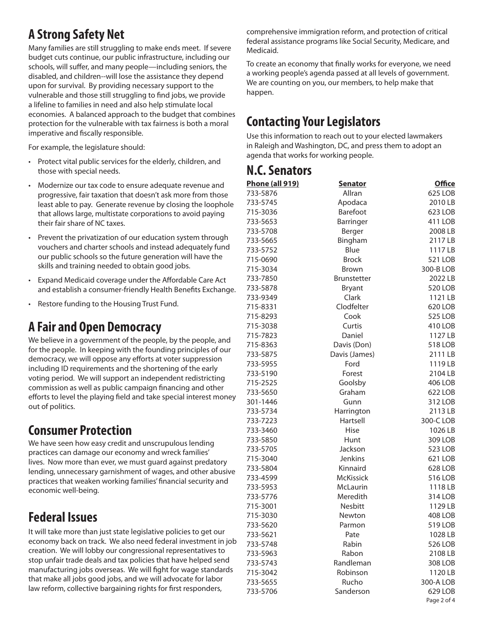# **A Strong Safety Net**

Many families are still struggling to make ends meet. If severe budget cuts continue, our public infrastructure, including our schools, will suffer, and many people—including seniors, the disabled, and children--will lose the assistance they depend upon for survival. By providing necessary support to the vulnerable and those still struggling to find jobs, we provide a lifeline to families in need and also help stimulate local economies. A balanced approach to the budget that combines protection for the vulnerable with tax fairness is both a moral imperative and fiscally responsible.

For example, the legislature should:

- • Protect vital public services for the elderly, children, and those with special needs.
- Modernize our tax code to ensure adequate revenue and progressive, fair taxation that doesn't ask more from those least able to pay. Generate revenue by closing the loophole that allows large, multistate corporations to avoid paying their fair share of NC taxes.
- Prevent the privatization of our education system through vouchers and charter schools and instead adequately fund our public schools so the future generation will have the skills and training needed to obtain good jobs.
- • Expand Medicaid coverage under the Affordable Care Act and establish a consumer-friendly Health Benefits Exchange.
- • Restore funding to the Housing Trust Fund.

#### **A Fair and Open Democracy**

We believe in a government of the people, by the people, and for the people. In keeping with the founding principles of our democracy, we will oppose any efforts at voter suppression including ID requirements and the shortening of the early voting period. We will support an independent redistricting commission as well as public campaign financing and other efforts to level the playing field and take special interest money out of politics.

# **Consumer Protection**

We have seen how easy credit and unscrupulous lending practices can damage our economy and wreck families' lives. Now more than ever, we must guard against predatory lending, unnecessary garnishment of wages, and other abusive practices that weaken working families' financial security and economic well-being.

# **Federal Issues**

It will take more than just state legislative policies to get our economy back on track. We also need federal investment in job creation. We will lobby our congressional representatives to stop unfair trade deals and tax policies that have helped send manufacturing jobs overseas. We will fight for wage standards that make all jobs good jobs, and we will advocate for labor law reform, collective bargaining rights for first responders,

comprehensive immigration reform, and protection of critical federal assistance programs like Social Security, Medicare, and Medicaid.

To create an economy that finally works for everyone, we need a working people's agenda passed at all levels of government. We are counting on you, our members, to help make that happen.

# **Contacting Your Legislators**

Use this information to reach out to your elected lawmakers in Raleigh and Washington, DC, and press them to adopt an agenda that works for working people.

#### **N.C. Senators**

| <u>Phone (all 919)</u> | <b>Senator</b>     | <b>Office</b>  |
|------------------------|--------------------|----------------|
| 733-5876               | Allran             | 625 LOB        |
| 733-5745               | Apodaca            | 2010 LB        |
| 715-3036               | Barefoot           | 623 LOB        |
| 733-5653               | Barringer          | 411 LOB        |
| 733-5708               | Berger             | 2008 LB        |
| 733-5665               | Bingham            | 2117LB         |
| 733-5752               | Blue               | 1117LB         |
| 715-0690               | <b>Brock</b>       | 521 LOB        |
| 715-3034               | <b>Brown</b>       | 300-B LOB      |
| 733-7850               | <b>Brunstetter</b> | 2022 LB        |
| 733-5878               | <b>Bryant</b>      | 520 LOB        |
| 733-9349               | Clark              | 1121 LB        |
| 715-8331               | Clodfelter         | 620 LOB        |
| 715-8293               | Cook               | <b>525 LOB</b> |
| 715-3038               | Curtis             | 410 LOB        |
| 715-7823               | Daniel             | 1127 LB        |
| 715-8363               | Davis (Don)        | 518 LOB        |
| 733-5875               | Davis (James)      | 2111 LB        |
| 733-5955               | Ford               | 1119 LB        |
| 733-5190               | Forest             | 2104 LB        |
| 715-2525               | Goolsby            | 406 LOB        |
| 733-5650               | Graham             | 622 LOB        |
| 301-1446               | Gunn               | 312 LOB        |
| 733-5734               | Harrington         | 2113LB         |
| 733-7223               | Hartsell           | 300-C LOB      |
| 733-3460               | <b>Hise</b>        | 1026 LB        |
| 733-5850               | Hunt               | 309 LOB        |
| 733-5705               | Jackson            | <b>523 LOB</b> |
| 715-3040               | Jenkins            | 621 LOB        |
| 733-5804               | Kinnaird           | 628 LOB        |
| 733-4599               | <b>McKissick</b>   | 516 LOB        |
| 733-5953               | <b>McLaurin</b>    | 1118LB         |
| 733-5776               | Meredith           | 314 LOB        |
| 715-3001               | Nesbitt            | 1129 LB        |
| 715-3030               | Newton             | 408 LOB        |
| 733-5620               | Parmon             | 519 LOB        |
| 733-5621               | Pate               | 1028 LB        |
| 733-5748               | Rabin              | 526 LOB        |
| 733-5963               | Rabon              | 2108 LB        |
| 733-5743               | Randleman          | 308 LOB        |
| 715-3042               | Robinson           | 1120 LB        |
| 733-5655               | Rucho              | 300-A LOB      |
| 733-5706               | Sanderson          | 629 LOB        |
|                        |                    | Page 2 of 4    |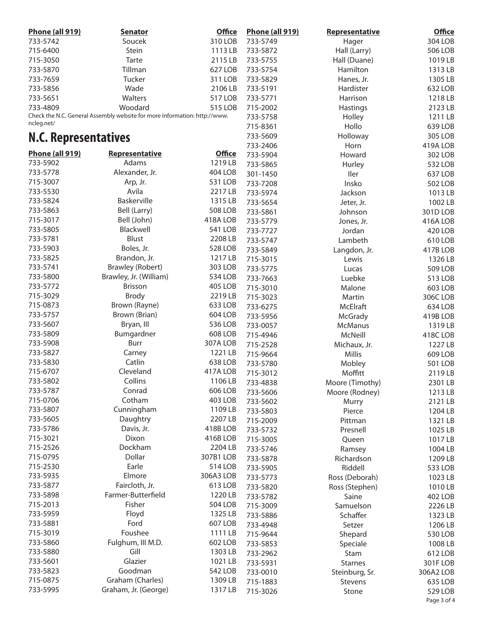| <b>Phone (all 919)</b>      | <b>Senator</b>                                                            | <b>Office</b>  | <b>Phone (all 919)</b> | Representative  | <b>Office</b>  |
|-----------------------------|---------------------------------------------------------------------------|----------------|------------------------|-----------------|----------------|
| 733-5742                    | Soucek                                                                    | 310 LOB        | 733-5749               | Hager           | 304 LOB        |
| 715-6400                    | Stein                                                                     | 1113LB         | 733-5872               | Hall (Larry)    | <b>506 LOB</b> |
| 715-3050                    | Tarte                                                                     | 2115LB         | 733-5755               | Hall (Duane)    | 1019 LB        |
| 733-5870                    | Tillman                                                                   | 627 LOB        | 733-5754               | Hamilton        | 1313 LB        |
| 733-7659                    | Tucker                                                                    | 311 LOB        | 733-5829               | Hanes, Jr.      | 1305 LB        |
| 733-5856                    | Wade                                                                      | 2106LB         | 733-5191               | Hardister       | 632 LOB        |
|                             | Walters                                                                   | 517 LOB        | 733-5771               |                 |                |
| 733-5651                    |                                                                           |                |                        | Harrison        | 1218 LB        |
| 733-4809                    | Woodard                                                                   | 515 LOB        | 715-2002               | Hastings        | 2123 LB        |
| ncleg.net/                  | Check the N.C. General Assembly website for more information: http://www. |                | 733-5758               | Holley          | 1211 LB        |
|                             |                                                                           |                | 715-8361               | Hollo           | 639 LOB        |
| <b>N.C. Representatives</b> |                                                                           |                | 733-5609               | Holloway        | 305 LOB        |
|                             |                                                                           |                | 733-2406               | Horn            | 419A LOB       |
| <b>Phone (all 919)</b>      | <b>Representative</b>                                                     | <b>Office</b>  | 733-5904               | Howard          | 302 LOB        |
| 733-5902                    | Adams                                                                     | 1219 LB        | 733-5865               | Hurley          | 532 LOB        |
| 733-5778                    | Alexander, Jr.                                                            | 404 LOB        | 301-1450               | Iler            | 637 LOB        |
| 715-3007                    | Arp, Jr.                                                                  | 531 LOB        | 733-7208               | Insko           | <b>502 LOB</b> |
| 733-5530                    | Avila                                                                     | 2217LB         | 733-5974               | Jackson         | 1013 LB        |
| 733-5824                    | Baskerville                                                               | 1315 LB        | 733-5654               | Jeter, Jr.      | 1002 LB        |
| 733-5863                    | Bell (Larry)                                                              | <b>508 LOB</b> | 733-5861               | Johnson         | 301D LOB       |
| 715-3017                    | Bell (John)                                                               | 418A LOB       | 733-5779               | Jones, Jr.      | 416A LOB       |
| 733-5805                    | Blackwell                                                                 | 541 LOB        | 733-7727               |                 |                |
| 733-5781                    | <b>Blust</b>                                                              | 2208 LB        |                        | Jordan          | 420 LOB        |
|                             |                                                                           |                | 733-5747               | Lambeth         | 610 LOB        |
| 733-5903                    | Boles, Jr.                                                                | 528 LOB        | 733-5849               | Langdon, Jr.    | 417B LOB       |
| 733-5825                    | Brandon, Jr.                                                              | 1217 LB        | 715-3015               | Lewis           | 1326 LB        |
| 733-5741                    | <b>Brawley (Robert)</b>                                                   | 303 LOB        | 733-5775               | Lucas           | 509 LOB        |
| 733-5800                    | Brawley, Jr. (William)                                                    | 534 LOB        | 733-7663               | Luebke          | 513 LOB        |
| 733-5772                    | <b>Brisson</b>                                                            | <b>405 LOB</b> | 715-3010               | Malone          | 603 LOB        |
| 715-3029                    | <b>Brody</b>                                                              | 2219 LB        | 715-3023               | Martin          | 306C LOB       |
| 715-0873                    | Brown (Rayne)                                                             | 633 LOB        | 733-6275               | McElraft        | 634 LOB        |
| 733-5757                    | Brown (Brian)                                                             | 604 LOB        | 733-5956               | McGrady         | 419B LOB       |
| 733-5607                    | Bryan, III                                                                | 536 LOB        | 733-0057               | <b>McManus</b>  | 1319 LB        |
| 733-5809                    | Bumgardner                                                                | 608 LOB        | 715-4946               | McNeill         | 418CLOB        |
| 733-5908                    | Burr                                                                      | 307A LOB       | 715-2528               | Michaux, Jr.    | 1227 LB        |
| 733-5827                    | Carney                                                                    | 1221 LB        | 715-9664               | Millis          | 609 LOB        |
| 733-5830                    | Catlin                                                                    | 638 LOB        | 733-5780               |                 |                |
| 715-6707                    | Cleveland                                                                 | 417A LOB       |                        | Mobley          | <b>501 LOB</b> |
| 733-5802                    | Collins                                                                   | 1106 LB        | 715-3012               | Moffitt         | 2119 LB        |
|                             |                                                                           |                | 733-4838               | Moore (Timothy) | 2301 LB        |
| 733-5787                    | Conrad                                                                    | 606 LOB        | 733-5606               | Moore (Rodney)  | 1213 LB        |
| 715-0706                    | Cotham                                                                    | 403 LOB        | 733-5602               | Murry           | 2121 LB        |
| 733-5807                    | Cunningham                                                                | 1109 LB        | 733-5803               | Pierce          | 1204 LB        |
| 733-5605                    | Daughtry                                                                  | 2207 LB        | 715-2009               | Pittman         | 1321 LB        |
| 733-5786                    | Davis, Jr.                                                                | 418B LOB       | 733-5732               | Presnell        | 1025 LB        |
| 715-3021                    | Dixon                                                                     | 416BLOB        | 715-3005               | Queen           | 1017 LB        |
| 715-2526                    | Dockham                                                                   | 2204 LB        | 733-5746               | Ramsey          | 1004 LB        |
| 715-0795                    | Dollar                                                                    | 307B1 LOB      | 733-5878               | Richardson      | 1209 LB        |
| 715-2530                    | Earle                                                                     | 514 LOB        | 733-5905               | Riddell         | 533 LOB        |
| 733-5935                    | Elmore                                                                    | 306A3 LOB      | 733-5773               | Ross (Deborah)  | 1023 LB        |
| 733-5877                    | Faircloth, Jr.                                                            | 613 LOB        | 733-5820               | Ross (Stephen)  | 1010 LB        |
| 733-5898                    | Farmer-Butterfield                                                        | 1220 LB        | 733-5782               | Saine           | 402 LOB        |
| 715-2013                    | Fisher                                                                    | <b>504 LOB</b> | 715-3009               | Samuelson       | 2226 LB        |
| 733-5959                    | Floyd                                                                     | 1325 LB        |                        |                 |                |
| 733-5881                    | Ford                                                                      | 607 LOB        | 733-5886               | Schaffer        | 1323 LB        |
|                             |                                                                           |                | 733-4948               | Setzer          | 1206 LB        |
| 715-3019                    | Foushee                                                                   | 1111 LB        | 715-9644               | Shepard         | <b>530 LOB</b> |
| 733-5860                    | Fulghum, III M.D.                                                         | 602 LOB        | 733-5853               | Speciale        | 1008 LB        |
| 733-5880                    | Gill                                                                      | 1303 LB        | 733-2962               | Stam            | 612 LOB        |
| 733-5601                    | Glazier                                                                   | 1021 LB        | 733-5931               | <b>Starnes</b>  | 301FLOB        |
| 733-5823                    | Goodman                                                                   | 542 LOB        | 733-0010               | Steinburg, Sr.  | 306A2 LOB      |
| 715-0875                    | Graham (Charles)                                                          | 1309 LB        | 715-1883               | <b>Stevens</b>  | 635 LOB        |
| 733-5995                    | Graham, Jr. (George)                                                      | 1317 LB        | 715-3026               | Stone           | 529 LOB        |
|                             |                                                                           |                |                        |                 | Page 3 of 4    |